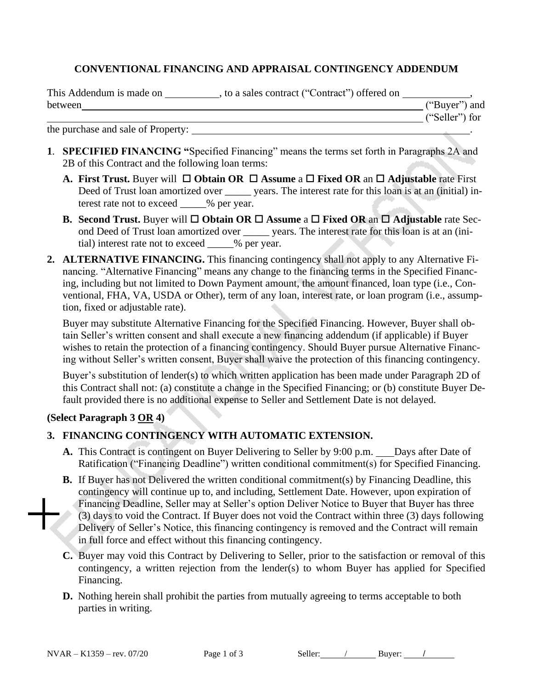## **CONVENTIONAL FINANCING AND APPRAISAL CONTINGENCY ADDENDUM**

| This Addendum is made on | , to a sales contract ("Contract") offered on |                |  |
|--------------------------|-----------------------------------------------|----------------|--|
| between                  |                                               | ("Buyer") and  |  |
|                          |                                               | ("Seller") for |  |

the purchase and sale of Property: .

- **1**. **SPECIFIED FINANCING "**Specified Financing" means the terms set forth in Paragraphs 2A and 2B of this Contract and the following loan terms:
	- **A.** First Trust. Buyer will  $\Box$  Obtain OR  $\Box$  Assume a  $\Box$  Fixed OR an  $\Box$  Adjustable rate First Deed of Trust loan amortized over \_\_\_\_\_\_ years. The interest rate for this loan is at an (initial) interest rate not to exceed  $\%$  per year.
	- **B.** Second Trust. Buyer will  $\Box$  Obtain OR  $\Box$  Assume a  $\Box$  Fixed OR an  $\Box$  Adjustable rate Second Deed of Trust loan amortized over vears. The interest rate for this loan is at an (initial) interest rate not to exceed \_\_\_\_\_% per year.
- **2. ALTERNATIVE FINANCING.** This financing contingency shall not apply to any Alternative Financing. "Alternative Financing" means any change to the financing terms in the Specified Financing, including but not limited to Down Payment amount, the amount financed, loan type (i.e., Conventional, FHA, VA, USDA or Other), term of any loan, interest rate, or loan program (i.e., assumption, fixed or adjustable rate).

Buyer may substitute Alternative Financing for the Specified Financing. However, Buyer shall obtain Seller's written consent and shall execute a new financing addendum (if applicable) if Buyer wishes to retain the protection of a financing contingency. Should Buyer pursue Alternative Financing without Seller's written consent, Buyer shall waive the protection of this financing contingency.

Buyer's substitution of lender(s) to which written application has been made under Paragraph 2D of this Contract shall not: (a) constitute a change in the Specified Financing; or (b) constitute Buyer Default provided there is no additional expense to Seller and Settlement Date is not delayed.

### **(Select Paragraph 3 OR 4)**

### **3. FINANCING CONTINGENCY WITH AUTOMATIC EXTENSION.**

- A. This Contract is contingent on Buyer Delivering to Seller by 9:00 p.m. Days after Date of Ratification ("Financing Deadline") written conditional commitment(s) for Specified Financing.
- **B.** If Buyer has not Delivered the written conditional commitment(s) by Financing Deadline, this contingency will continue up to, and including, Settlement Date. However, upon expiration of Financing Deadline, Seller may at Seller's option Deliver Notice to Buyer that Buyer has three (3) days to void the Contract. If Buyer does not void the Contract within three (3) days following Delivery of Seller's Notice, this financing contingency is removed and the Contract will remain in full force and effect without this financing contingency.
- **C.** Buyer may void this Contract by Delivering to Seller, prior to the satisfaction or removal of this contingency, a written rejection from the lender(s) to whom Buyer has applied for Specified Financing.
- **D.** Nothing herein shall prohibit the parties from mutually agreeing to terms acceptable to both parties in writing.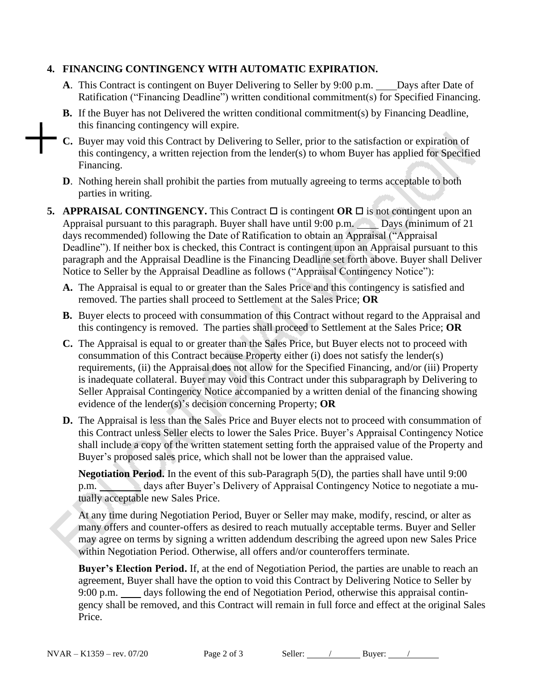# **4. FINANCING CONTINGENCY WITH AUTOMATIC EXPIRATION.**

- **A**. This Contract is contingent on Buyer Delivering to Seller by 9:00 p.m. Days after Date of Ratification ("Financing Deadline") written conditional commitment(s) for Specified Financing.
- **B.** If the Buyer has not Delivered the written conditional commitment(s) by Financing Deadline, this financing contingency will expire.
- **C.** Buyer may void this Contract by Delivering to Seller, prior to the satisfaction or expiration of this contingency, a written rejection from the lender(s) to whom Buyer has applied for Specified Financing.
- **D**. Nothing herein shall prohibit the parties from mutually agreeing to terms acceptable to both parties in writing.
- **5. APPRAISAL CONTINGENCY.** This Contract  $\Box$  is contingent  $\overline{OR}$   $\Box$  is not contingent upon an Appraisal pursuant to this paragraph. Buyer shall have until 9:00 p.m. Days (minimum of 21 days recommended) following the Date of Ratification to obtain an Appraisal ("Appraisal Deadline"). If neither box is checked, this Contract is contingent upon an Appraisal pursuant to this paragraph and the Appraisal Deadline is the Financing Deadline set forth above. Buyer shall Deliver Notice to Seller by the Appraisal Deadline as follows ("Appraisal Contingency Notice"):
	- **A.** The Appraisal is equal to or greater than the Sales Price and this contingency is satisfied and removed. The parties shall proceed to Settlement at the Sales Price; **OR**
	- **B.** Buyer elects to proceed with consummation of this Contract without regard to the Appraisal and this contingency is removed. The parties shall proceed to Settlement at the Sales Price; **OR**
	- **C.** The Appraisal is equal to or greater than the Sales Price, but Buyer elects not to proceed with consummation of this Contract because Property either (i) does not satisfy the lender(s) requirements, (ii) the Appraisal does not allow for the Specified Financing, and/or (iii) Property is inadequate collateral. Buyer may void this Contract under this subparagraph by Delivering to Seller Appraisal Contingency Notice accompanied by a written denial of the financing showing evidence of the lender(s)'s decision concerning Property; **OR**
	- **D.** The Appraisal is less than the Sales Price and Buyer elects not to proceed with consummation of this Contract unless Seller elects to lower the Sales Price. Buyer's Appraisal Contingency Notice shall include a copy of the written statement setting forth the appraised value of the Property and Buyer's proposed sales price, which shall not be lower than the appraised value.

**Negotiation Period.** In the event of this sub-Paragraph 5(D), the parties shall have until 9:00 p.m. days after Buyer's Delivery of Appraisal Contingency Notice to negotiate a mutually acceptable new Sales Price.

At any time during Negotiation Period, Buyer or Seller may make, modify, rescind, or alter as many offers and counter-offers as desired to reach mutually acceptable terms. Buyer and Seller may agree on terms by signing a written addendum describing the agreed upon new Sales Price within Negotiation Period. Otherwise, all offers and/or counteroffers terminate.

**Buyer's Election Period.** If, at the end of Negotiation Period, the parties are unable to reach an agreement, Buyer shall have the option to void this Contract by Delivering Notice to Seller by 9:00 p.m. days following the end of Negotiation Period, otherwise this appraisal contingency shall be removed, and this Contract will remain in full force and effect at the original Sales Price.